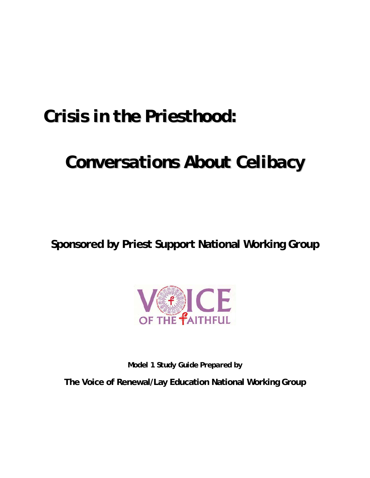# *Crisis in the Priesthood:*

# *Conversations About Celibacy*

**Sponsored by Priest Support National Working Group** 



*Model 1 Study Guide Prepared by* 

**The Voice of Renewal/Lay Education National Working Group**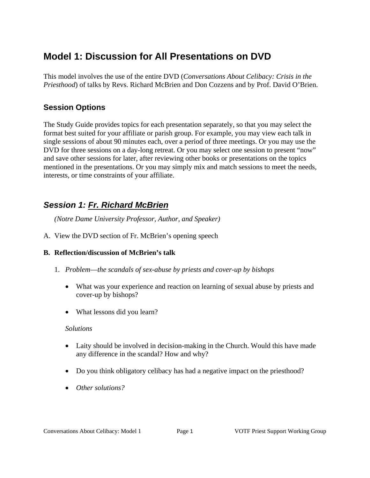# **Model 1: Discussion for All Presentations on DVD**

This model involves the use of the entire DVD (*Conversations About Celibacy: Crisis in the Priesthood*) of talks by Revs. Richard McBrien and Don Cozzens and by Prof. David O'Brien.

### **Session Options**

The Study Guide provides topics for each presentation separately, so that you may select the format best suited for your affiliate or parish group. For example, you may view each talk in single sessions of about 90 minutes each, over a period of three meetings. Or you may use the DVD for three sessions on a day-long retreat. Or you may select one session to present "now" and save other sessions for later, after reviewing other books or presentations on the topics mentioned in the presentations. Or you may simply mix and match sessions to meet the needs, interests, or time constraints of your affiliate.

## *Session 1: Fr. Richard McBrien*

*(Notre Dame University Professor, Author, and Speaker)* 

A. View the DVD section of Fr. McBrien's opening speech

#### **B. Reflection/discussion of McBrien's talk**

- 1. *Problem*—*the scandals of sex-abuse by priests and cover-up by bishops*
	- What was your experience and reaction on learning of sexual abuse by priests and cover-up by bishops?
	- What lessons did you learn?

#### *Solutions*

- Laity should be involved in decision-making in the Church. Would this have made any difference in the scandal? How and why?
- Do you think obligatory celibacy has had a negative impact on the priesthood?
- *Other solutions?*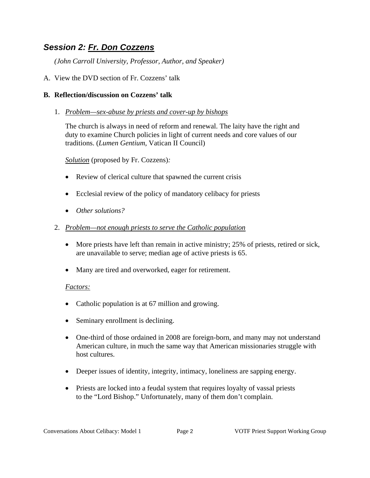## *Session 2: Fr. Don Cozzens*

*(John Carroll University, Professor, Author, and Speaker)* 

A. View the DVD section of Fr. Cozzens' talk

#### **B. Reflection/discussion on Cozzens' talk**

#### 1. *Problem—sex-abuse by priests and cover-up by bishops*

The church is always in need of reform and renewal. The laity have the right and duty to examine Church policies in light of current needs and core values of our traditions. (*Lumen Gentium*, Vatican II Council)

*Solution* (proposed by Fr. Cozzens)*:* 

- Review of clerical culture that spawned the current crisis
- Ecclesial review of the policy of mandatory celibacy for priests
- *Other solutions?*
- 2. *Problem—not enough priests to serve the Catholic population*
	- More priests have left than remain in active ministry; 25% of priests, retired or sick, are unavailable to serve; median age of active priests is 65.
	- Many are tired and overworked, eager for retirement.

#### *Factors:*

- Catholic population is at 67 million and growing.
- Seminary enrollment is declining.
- One-third of those ordained in 2008 are foreign-born, and many may not understand American culture, in much the same way that American missionaries struggle with host cultures.
- Deeper issues of identity, integrity, intimacy, loneliness are sapping energy.
- Priests are locked into a feudal system that requires loyalty of vassal priests to the "Lord Bishop." Unfortunately, many of them don't complain.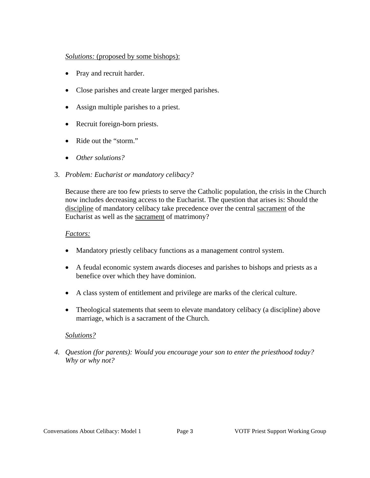#### *Solutions:* (proposed by some bishops):

- Pray and recruit harder.
- Close parishes and create larger merged parishes.
- Assign multiple parishes to a priest.
- Recruit foreign-born priests.
- Ride out the "storm."
- *Other solutions?*
- 3. *Problem: Eucharist or mandatory celibacy?*

Because there are too few priests to serve the Catholic population, the crisis in the Church now includes decreasing access to the Eucharist. The question that arises is: Should the discipline of mandatory celibacy take precedence over the central sacrament of the Eucharist as well as the sacrament of matrimony?

#### *Factors:*

- Mandatory priestly celibacy functions as a management control system.
- A feudal economic system awards dioceses and parishes to bishops and priests as a benefice over which they have dominion.
- A class system of entitlement and privilege are marks of the clerical culture.
- Theological statements that seem to elevate mandatory celibacy (a discipline) above marriage, which is a sacrament of the Church.

#### *Solutions?*

*4. Question (for parents): Would you encourage your son to enter the priesthood today? Why or why not?*